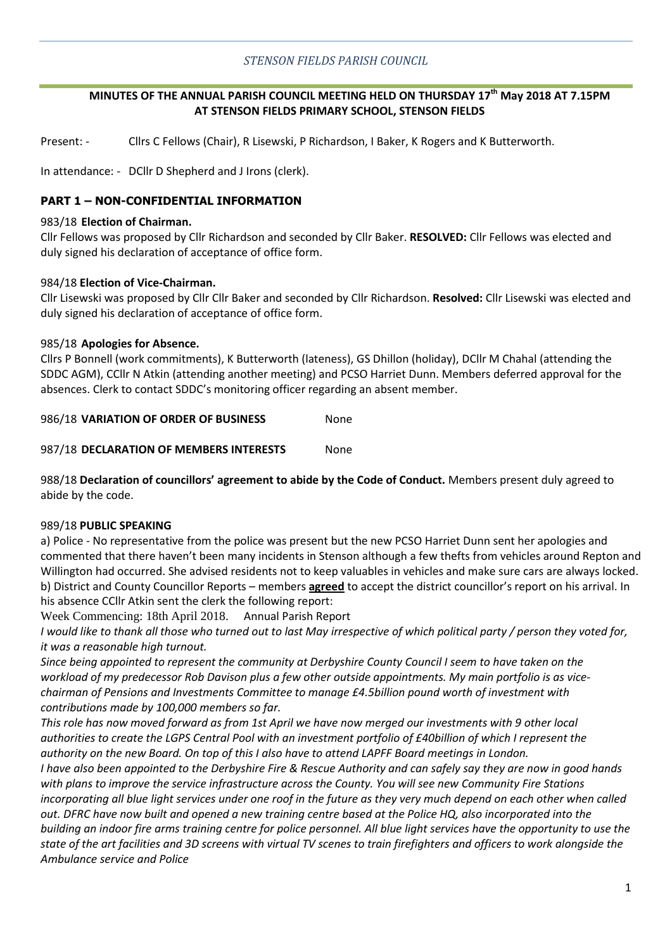## *STENSON FIELDS PARISH COUNCIL*

## **MINUTES OF THE ANNUAL PARISH COUNCIL MEETING HELD ON THURSDAY 17th May 2018 AT 7.15PM AT STENSON FIELDS PRIMARY SCHOOL, STENSON FIELDS**

Present: - Cllrs C Fellows (Chair), R Lisewski, P Richardson, I Baker, K Rogers and K Butterworth.

In attendance: - DCllr D Shepherd and J Irons (clerk).

### **PART 1 – NON-CONFIDENTIAL INFORMATION**

#### 983/18 **Election of Chairman.**

Cllr Fellows was proposed by Cllr Richardson and seconded by Cllr Baker. **RESOLVED:** Cllr Fellows was elected and duly signed his declaration of acceptance of office form.

#### 984/18 **Election of Vice-Chairman.**

Cllr Lisewski was proposed by Cllr Cllr Baker and seconded by Cllr Richardson. **Resolved:** Cllr Lisewski was elected and duly signed his declaration of acceptance of office form.

#### 985/18 **Apologies for Absence.**

Cllrs P Bonnell (work commitments), K Butterworth (lateness), GS Dhillon (holiday), DCllr M Chahal (attending the SDDC AGM), CCllr N Atkin (attending another meeting) and PCSO Harriet Dunn. Members deferred approval for the absences. Clerk to contact SDDC's monitoring officer regarding an absent member.

986/18 **VARIATION OF ORDER OF BUSINESS** None

987/18 **DECLARATION OF MEMBERS INTERESTS** None

988/18 **Declaration of councillors' agreement to abide by the Code of Conduct.** Members present duly agreed to abide by the code.

#### 989/18 **PUBLIC SPEAKING**

a) Police - No representative from the police was present but the new PCSO Harriet Dunn sent her apologies and commented that there haven't been many incidents in Stenson although a few thefts from vehicles around Repton and Willington had occurred. She advised residents not to keep valuables in vehicles and make sure cars are always locked. b) District and County Councillor Reports – members **agreed** to accept the district councillor's report on his arrival. In his absence CCllr Atkin sent the clerk the following report:

Week Commencing: 18th April 2018. Annual Parish Report

*I would like to thank all those who turned out to last May irrespective of which political party / person they voted for, it was a reasonable high turnout.*

*Since being appointed to represent the community at Derbyshire County Council I seem to have taken on the workload of my predecessor Rob Davison plus a few other outside appointments. My main portfolio is as vicechairman of Pensions and Investments Committee to manage £4.5billion pound worth of investment with contributions made by 100,000 members so far.*

*This role has now moved forward as from 1st April we have now merged our investments with 9 other local authorities to create the LGPS Central Pool with an investment portfolio of £40billion of which I represent the authority on the new Board. On top of this I also have to attend LAPFF Board meetings in London.*

*I have also been appointed to the Derbyshire Fire & Rescue Authority and can safely say they are now in good hands with plans to improve the service infrastructure across the County. You will see new Community Fire Stations incorporating all blue light services under one roof in the future as they very much depend on each other when called out. DFRC have now built and opened a new training centre based at the Police HQ, also incorporated into the building an indoor fire arms training centre for police personnel. All blue light services have the opportunity to use the state of the art facilities and 3D screens with virtual TV scenes to train firefighters and officers to work alongside the Ambulance service and Police*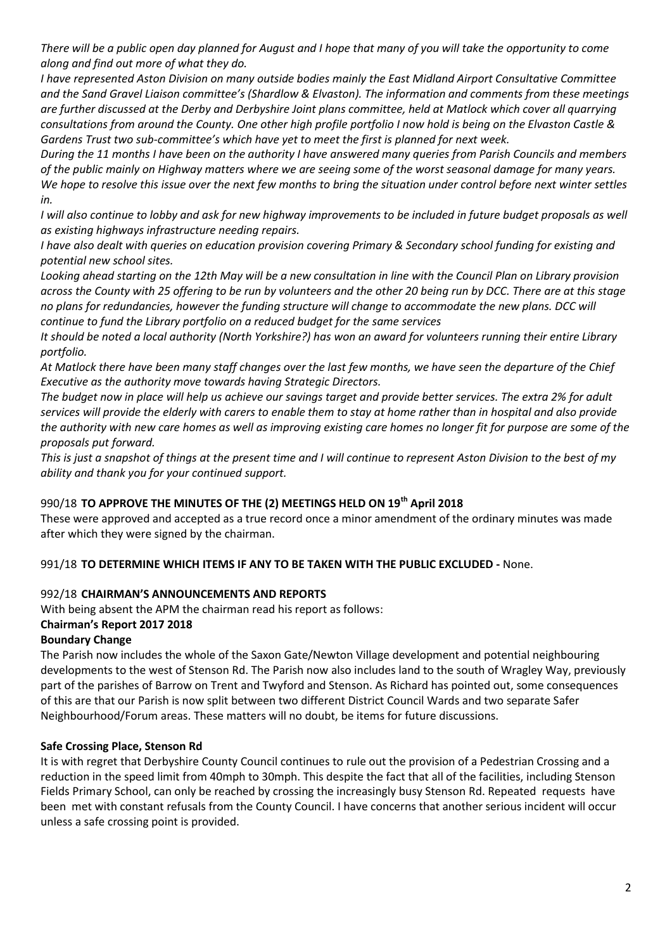*There will be a public open day planned for August and I hope that many of you will take the opportunity to come along and find out more of what they do.*

*I have represented Aston Division on many outside bodies mainly the East Midland Airport Consultative Committee and the Sand Gravel Liaison committee's (Shardlow & Elvaston). The information and comments from these meetings are further discussed at the Derby and Derbyshire Joint plans committee, held at Matlock which cover all quarrying consultations from around the County. One other high profile portfolio I now hold is being on the Elvaston Castle & Gardens Trust two sub-committee's which have yet to meet the first is planned for next week.*

*During the 11 months I have been on the authority I have answered many queries from Parish Councils and members of the public mainly on Highway matters where we are seeing some of the worst seasonal damage for many years. We hope to resolve this issue over the next few months to bring the situation under control before next winter settles in.*

*I* will also continue to lobby and ask for new highway improvements to be included in future budget proposals as well *as existing highways infrastructure needing repairs.*

*I have also dealt with queries on education provision covering Primary & Secondary school funding for existing and potential new school sites.*

*Looking ahead starting on the 12th May will be a new consultation in line with the Council Plan on Library provision across the County with 25 offering to be run by volunteers and the other 20 being run by DCC. There are at this stage*  no plans for redundancies, however the funding structure will change to accommodate the new plans. DCC will *continue to fund the Library portfolio on a reduced budget for the same services*

*It should be noted a local authority (North Yorkshire?) has won an award for volunteers running their entire Library portfolio.*

*At Matlock there have been many staff changes over the last few months, we have seen the departure of the Chief Executive as the authority move towards having Strategic Directors.*

*The budget now in place will help us achieve our savings target and provide better services. The extra 2% for adult services will provide the elderly with carers to enable them to stay at home rather than in hospital and also provide the authority with new care homes as well as improving existing care homes no longer fit for purpose are some of the proposals put forward.*

*This is just a snapshot of things at the present time and I will continue to represent Aston Division to the best of my ability and thank you for your continued support.*

## 990/18 **TO APPROVE THE MINUTES OF THE (2) MEETINGS HELD ON 19th April 2018**

These were approved and accepted as a true record once a minor amendment of the ordinary minutes was made after which they were signed by the chairman.

## 991/18 **TO DETERMINE WHICH ITEMS IF ANY TO BE TAKEN WITH THE PUBLIC EXCLUDED -** None.

# 992/18 **CHAIRMAN'S ANNOUNCEMENTS AND REPORTS**

With being absent the APM the chairman read his report as follows: **Chairman's Report 2017 2018**

## **Boundary Change**

The Parish now includes the whole of the Saxon Gate/Newton Village development and potential neighbouring developments to the west of Stenson Rd. The Parish now also includes land to the south of Wragley Way, previously part of the parishes of Barrow on Trent and Twyford and Stenson. As Richard has pointed out, some consequences of this are that our Parish is now split between two different District Council Wards and two separate Safer Neighbourhood/Forum areas. These matters will no doubt, be items for future discussions.

## **Safe Crossing Place, Stenson Rd**

It is with regret that Derbyshire County Council continues to rule out the provision of a Pedestrian Crossing and a reduction in the speed limit from 40mph to 30mph. This despite the fact that all of the facilities, including Stenson Fields Primary School, can only be reached by crossing the increasingly busy Stenson Rd. Repeated requests have been met with constant refusals from the County Council. I have concerns that another serious incident will occur unless a safe crossing point is provided.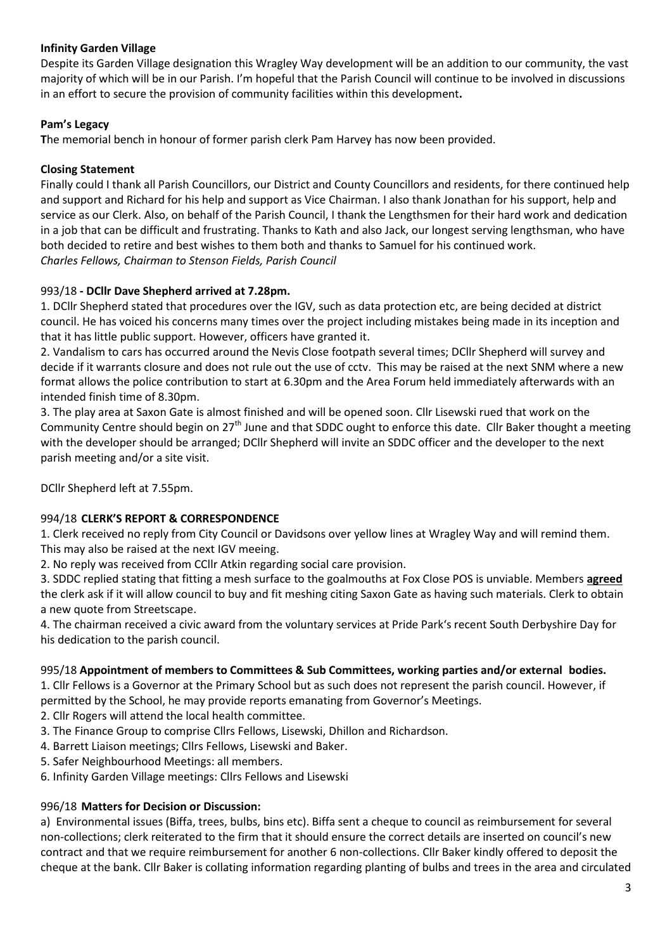# **Infinity Garden Village**

Despite its Garden Village designation this Wragley Way development will be an addition to our community, the vast majority of which will be in our Parish. I'm hopeful that the Parish Council will continue to be involved in discussions in an effort to secure the provision of community facilities within this development**.** 

# **Pam's Legacy**

**T**he memorial bench in honour of former parish clerk Pam Harvey has now been provided.

# **Closing Statement**

Finally could I thank all Parish Councillors, our District and County Councillors and residents, for there continued help and support and Richard for his help and support as Vice Chairman. I also thank Jonathan for his support, help and service as our Clerk. Also, on behalf of the Parish Council, I thank the Lengthsmen for their hard work and dedication in a job that can be difficult and frustrating. Thanks to Kath and also Jack, our longest serving lengthsman, who have both decided to retire and best wishes to them both and thanks to Samuel for his continued work. *Charles Fellows, Chairman to Stenson Fields, Parish Council*

# 993/18 **- DCllr Dave Shepherd arrived at 7.28pm.**

1. DCllr Shepherd stated that procedures over the IGV, such as data protection etc, are being decided at district council. He has voiced his concerns many times over the project including mistakes being made in its inception and that it has little public support. However, officers have granted it.

2. Vandalism to cars has occurred around the Nevis Close footpath several times; DCllr Shepherd will survey and decide if it warrants closure and does not rule out the use of cctv. This may be raised at the next SNM where a new format allows the police contribution to start at 6.30pm and the Area Forum held immediately afterwards with an intended finish time of 8.30pm.

3. The play area at Saxon Gate is almost finished and will be opened soon. Cllr Lisewski rued that work on the Community Centre should begin on  $27<sup>th</sup>$  June and that SDDC ought to enforce this date. Cllr Baker thought a meeting with the developer should be arranged; DCllr Shepherd will invite an SDDC officer and the developer to the next parish meeting and/or a site visit.

DCllr Shepherd left at 7.55pm.

# 994/18 **CLERK'S REPORT & CORRESPONDENCE**

1. Clerk received no reply from City Council or Davidsons over yellow lines at Wragley Way and will remind them. This may also be raised at the next IGV meeing.

2. No reply was received from CCllr Atkin regarding social care provision.

3. SDDC replied stating that fitting a mesh surface to the goalmouths at Fox Close POS is unviable. Members **agreed** the clerk ask if it will allow council to buy and fit meshing citing Saxon Gate as having such materials. Clerk to obtain a new quote from Streetscape.

4. The chairman received a civic award from the voluntary services at Pride Park's recent South Derbyshire Day for his dedication to the parish council.

## 995/18 **Appointment of members to Committees & Sub Committees, working parties and/or external bodies.**

1. Cllr Fellows is a Governor at the Primary School but as such does not represent the parish council. However, if permitted by the School, he may provide reports emanating from Governor's Meetings.

2. Cllr Rogers will attend the local health committee.

- 3. The Finance Group to comprise Cllrs Fellows, Lisewski, Dhillon and Richardson.
- 4. Barrett Liaison meetings; Cllrs Fellows, Lisewski and Baker.
- 5. Safer Neighbourhood Meetings: all members.
- 6. Infinity Garden Village meetings: Cllrs Fellows and Lisewski

## 996/18 **Matters for Decision or Discussion:**

a) Environmental issues (Biffa, trees, bulbs, bins etc). Biffa sent a cheque to council as reimbursement for several non-collections; clerk reiterated to the firm that it should ensure the correct details are inserted on council's new contract and that we require reimbursement for another 6 non-collections. Cllr Baker kindly offered to deposit the cheque at the bank. Cllr Baker is collating information regarding planting of bulbs and trees in the area and circulated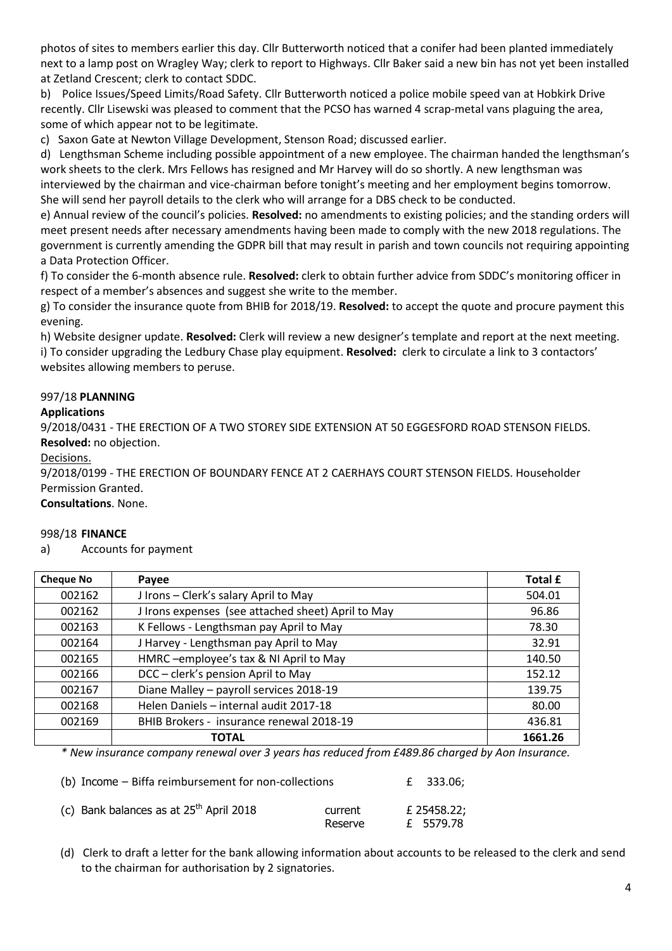photos of sites to members earlier this day. Cllr Butterworth noticed that a conifer had been planted immediately next to a lamp post on Wragley Way; clerk to report to Highways. Cllr Baker said a new bin has not yet been installed at Zetland Crescent; clerk to contact SDDC.

b) Police Issues/Speed Limits/Road Safety. Cllr Butterworth noticed a police mobile speed van at Hobkirk Drive recently. Cllr Lisewski was pleased to comment that the PCSO has warned 4 scrap-metal vans plaguing the area, some of which appear not to be legitimate.

c) Saxon Gate at Newton Village Development, Stenson Road; discussed earlier.

d) Lengthsman Scheme including possible appointment of a new employee. The chairman handed the lengthsman's work sheets to the clerk. Mrs Fellows has resigned and Mr Harvey will do so shortly. A new lengthsman was

interviewed by the chairman and vice-chairman before tonight's meeting and her employment begins tomorrow. She will send her payroll details to the clerk who will arrange for a DBS check to be conducted.

e) Annual review of the council's policies. **Resolved:** no amendments to existing policies; and the standing orders will meet present needs after necessary amendments having been made to comply with the new 2018 regulations. The government is currently amending the GDPR bill that may result in parish and town councils not requiring appointing a Data Protection Officer.

f) To consider the 6-month absence rule. **Resolved:** clerk to obtain further advice from SDDC's monitoring officer in respect of a member's absences and suggest she write to the member.

g) To consider the insurance quote from BHIB for 2018/19. **Resolved:** to accept the quote and procure payment this evening.

h) Website designer update. **Resolved:** Clerk will review a new designer's template and report at the next meeting. i) To consider upgrading the Ledbury Chase play equipment. **Resolved:** clerk to circulate a link to 3 contactors' websites allowing members to peruse.

## 997/18 **PLANNING**

## **Applications**

9/2018/0431 - THE ERECTION OF A TWO STOREY SIDE EXTENSION AT 50 EGGESFORD ROAD STENSON FIELDS. **Resolved:** no objection.

Decisions.

9/2018/0199 - THE ERECTION OF BOUNDARY FENCE AT 2 CAERHAYS COURT STENSON FIELDS. Householder Permission Granted.

**Consultations**. None.

### 998/18 **FINANCE**

a) Accounts for payment

| <b>Cheque No</b> | Payee                                              | Total £ |
|------------------|----------------------------------------------------|---------|
| 002162           | J Irons - Clerk's salary April to May              | 504.01  |
| 002162           | J Irons expenses (see attached sheet) April to May | 96.86   |
| 002163           | K Fellows - Lengthsman pay April to May            | 78.30   |
| 002164           | J Harvey - Lengthsman pay April to May             | 32.91   |
| 002165           | HMRC-employee's tax & NI April to May              | 140.50  |
| 002166           | DCC - clerk's pension April to May                 | 152.12  |
| 002167           | Diane Malley - payroll services 2018-19            | 139.75  |
| 002168           | Helen Daniels - internal audit 2017-18             | 80.00   |
| 002169           | BHIB Brokers - insurance renewal 2018-19           | 436.81  |
|                  | <b>TOTAL</b>                                       | 1661.26 |

*\* New insurance company renewal over 3 years has reduced from £489.86 charged by Aon Insurance.* 

| (b) Income – Biffa reimbursement for non-collections |                    | £ 333.06:                |
|------------------------------------------------------|--------------------|--------------------------|
| (c) Bank balances as at $25th$ April 2018            | current<br>Reserve | £ 25458.22;<br>£ 5579.78 |

 (d) Clerk to draft a letter for the bank allowing information about accounts to be released to the clerk and send to the chairman for authorisation by 2 signatories.